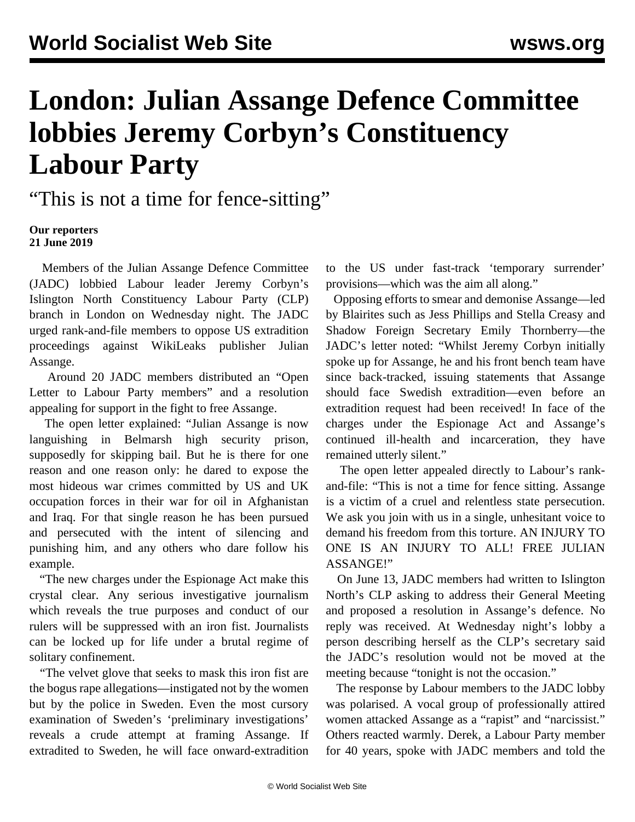## **London: Julian Assange Defence Committee lobbies Jeremy Corbyn's Constituency Labour Party**

"This is not a time for fence-sitting"

## **Our reporters 21 June 2019**

 Members of the Julian Assange Defence Committee (JADC) lobbied Labour leader Jeremy Corbyn's Islington North Constituency Labour Party (CLP) branch in London on Wednesday night. The JADC urged rank-and-file members to oppose US extradition proceedings against WikiLeaks publisher Julian Assange.

 Around 20 JADC members distributed an "Open Letter to Labour Party members" and a resolution appealing for support in the fight to free Assange.

 The open letter explained: "Julian Assange is now languishing in Belmarsh high security prison, supposedly for skipping bail. But he is there for one reason and one reason only: he dared to expose the most hideous war crimes committed by US and UK occupation forces in their war for oil in Afghanistan and Iraq. For that single reason he has been pursued and persecuted with the intent of silencing and punishing him, and any others who dare follow his example.

 "The new charges under the Espionage Act make this crystal clear. Any serious investigative journalism which reveals the true purposes and conduct of our rulers will be suppressed with an iron fist. Journalists can be locked up for life under a brutal regime of solitary confinement.

 "The velvet glove that seeks to mask this iron fist are the bogus rape allegations—instigated not by the women but by the police in Sweden. Even the most cursory examination of Sweden's 'preliminary investigations' reveals a crude attempt at framing Assange. If extradited to Sweden, he will face onward-extradition

to the US under fast-track 'temporary surrender' provisions—which was the aim all along."

 Opposing efforts to smear and demonise Assange—led by Blairites such as Jess Phillips and Stella Creasy and Shadow Foreign Secretary Emily Thornberry—the JADC's letter noted: "Whilst Jeremy Corbyn initially spoke up for Assange, he and his front bench team have since back-tracked, issuing statements that Assange should face Swedish extradition—even before an extradition request had been received! In face of the charges under the Espionage Act and Assange's continued ill-health and incarceration, they have remained utterly silent."

 The open letter appealed directly to Labour's rankand-file: "This is not a time for fence sitting. Assange is a victim of a cruel and relentless state persecution. We ask you join with us in a single, unhesitant voice to demand his freedom from this torture. AN INJURY TO ONE IS AN INJURY TO ALL! FREE JULIAN ASSANGE!"

 On June 13, JADC members had written to Islington North's CLP asking to address their General Meeting and proposed a resolution in Assange's defence. No reply was received. At Wednesday night's lobby a person describing herself as the CLP's secretary said the JADC's resolution would not be moved at the meeting because "tonight is not the occasion."

 The response by Labour members to the JADC lobby was polarised. A vocal group of professionally attired women attacked Assange as a "rapist" and "narcissist." Others reacted warmly. Derek, a Labour Party member for 40 years, spoke with JADC members and told the